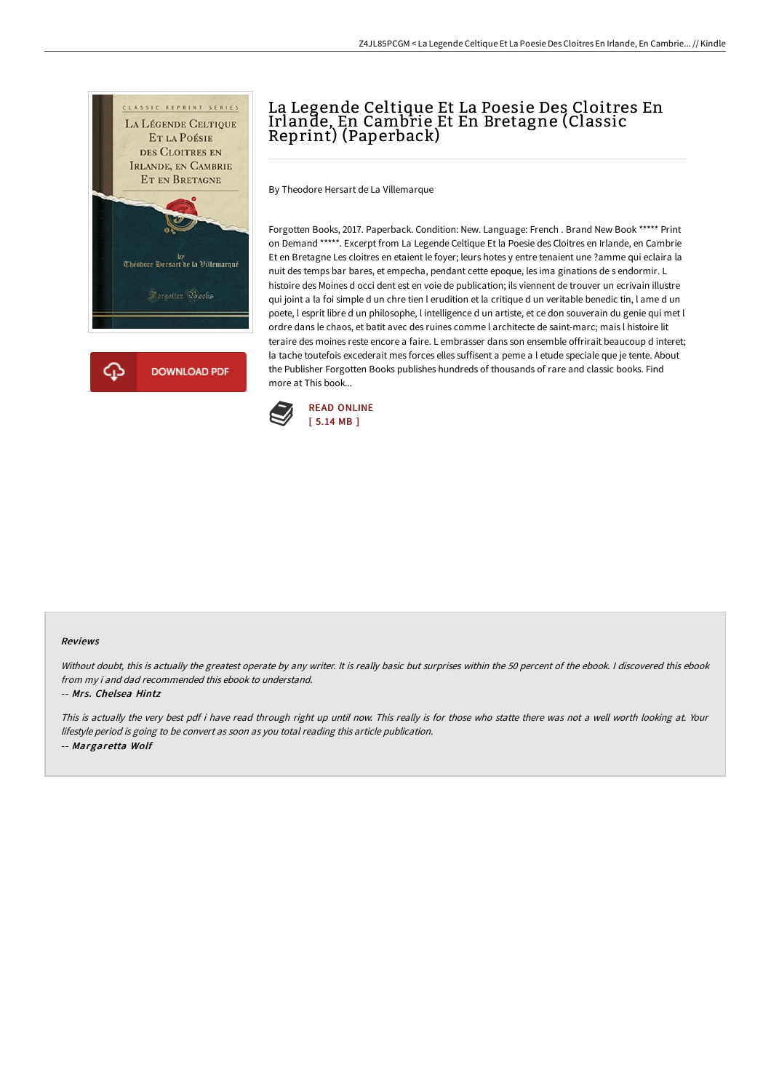

## La Legende Celtique Et La Poesie Des Cloitres En Irlande, En Cambrie Et En Bretagne (Classic Reprint) (Paperback)

By Theodore Hersart de La Villemarque

Forgotten Books, 2017. Paperback. Condition: New. Language: French . Brand New Book \*\*\*\*\* Print on Demand \*\*\*\*\*. Excerpt from La Legende Celtique Et la Poesie des Cloitres en Irlande, en Cambrie Et en Bretagne Les cloitres en etaient le foyer; leurs hotes y entre tenaient une ?amme qui eclaira la nuit des temps bar bares, et empecha, pendant cette epoque, les ima ginations de s endormir. L histoire des Moines d occi dent est en voie de publication; ils viennent de trouver un ecrivain illustre qui joint a la foi simple d un chre tien l erudition et la critique d un veritable benedic tin, l ame d un poete, l esprit libre d un philosophe, l intelligence d un artiste, et ce don souverain du genie qui met l ordre dans le chaos, et batit avec des ruines comme l architecte de saint-marc; mais l histoire lit teraire des moines reste encore a faire. L embrasser dans son ensemble offrirait beaucoup d interet; la tache toutefois excederait mes forces elles suffisent a peme a l etude speciale que je tente. About the Publisher Forgotten Books publishes hundreds of thousands of rare and classic books. Find more at This book...



## Reviews

Without doubt, this is actually the greatest operate by any writer. It is really basic but surprises within the 50 percent of the ebook. I discovered this ebook from my i and dad recommended this ebook to understand.

-- Mrs. Chelsea Hintz

This is actually the very best pdf i have read through right up until now. This really is for those who statte there was not <sup>a</sup> well worth looking at. Your lifestyle period is going to be convert as soon as you total reading this article publication. -- Margaretta Wolf